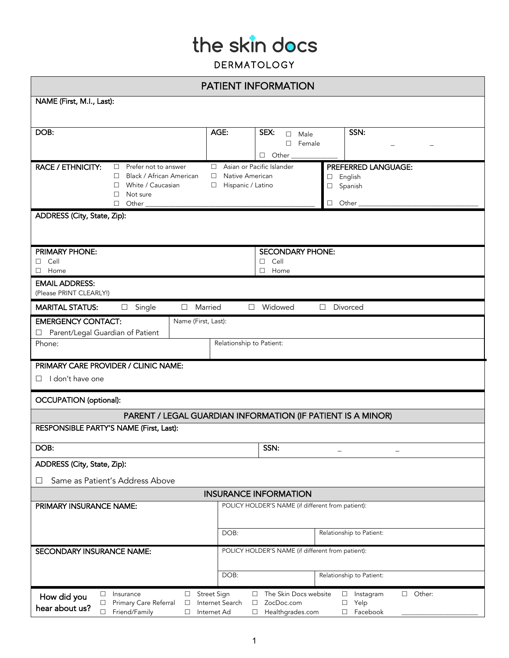| <b>PATIENT INFORMATION</b>                                                                                                                                                                                                                                                                                                                                       |                           |                                  |                            |  |  |  |
|------------------------------------------------------------------------------------------------------------------------------------------------------------------------------------------------------------------------------------------------------------------------------------------------------------------------------------------------------------------|---------------------------|----------------------------------|----------------------------|--|--|--|
| NAME (First, M.I., Last):                                                                                                                                                                                                                                                                                                                                        |                           |                                  |                            |  |  |  |
|                                                                                                                                                                                                                                                                                                                                                                  |                           |                                  |                            |  |  |  |
| DOB:                                                                                                                                                                                                                                                                                                                                                             | AGE:                      | SEX:<br>$\square$ Male           | SSN:                       |  |  |  |
|                                                                                                                                                                                                                                                                                                                                                                  |                           | $\square$ Female<br>$\Box$ Other |                            |  |  |  |
| <b>RACE / ETHNICITY:</b><br>$\Box$ Prefer not to answer                                                                                                                                                                                                                                                                                                          | Asian or Pacific Islander |                                  | <b>PREFERRED LANGUAGE:</b> |  |  |  |
| Black / African American<br>П.                                                                                                                                                                                                                                                                                                                                   | □ Native American         | English<br>□                     |                            |  |  |  |
| $\Box$ White / Caucasian<br>$\Box$<br>Not sure                                                                                                                                                                                                                                                                                                                   | Hispanic / Latino         | Spanish<br>□                     |                            |  |  |  |
| $\Box$<br>Other $\frac{1}{\sqrt{1-\frac{1}{2}}\cdot\frac{1}{2}}$                                                                                                                                                                                                                                                                                                 |                           | Other $_{-}$<br>$\Box$           |                            |  |  |  |
| ADDRESS (City, State, Zip):                                                                                                                                                                                                                                                                                                                                      |                           |                                  |                            |  |  |  |
|                                                                                                                                                                                                                                                                                                                                                                  |                           |                                  |                            |  |  |  |
| PRIMARY PHONE:                                                                                                                                                                                                                                                                                                                                                   |                           | SECONDARY PHONE:                 |                            |  |  |  |
| Cell<br>п                                                                                                                                                                                                                                                                                                                                                        |                           | $\square$ Cell                   |                            |  |  |  |
| Home<br>⊔                                                                                                                                                                                                                                                                                                                                                        |                           | $\Box$ Home                      |                            |  |  |  |
| <b>EMAIL ADDRESS:</b><br>(Please PRINT CLEARLY!)                                                                                                                                                                                                                                                                                                                 |                           |                                  |                            |  |  |  |
| <b>MARITAL STATUS:</b><br>Married<br>Single<br>□<br>$\Box$                                                                                                                                                                                                                                                                                                       | $\Box$                    | Widowed                          | Divorced<br>П.             |  |  |  |
| <b>EMERGENCY CONTACT:</b><br>Name (First, Last):                                                                                                                                                                                                                                                                                                                 |                           |                                  |                            |  |  |  |
| Parent/Legal Guardian of Patient<br>⊔                                                                                                                                                                                                                                                                                                                            |                           |                                  |                            |  |  |  |
| Relationship to Patient:<br>Phone:                                                                                                                                                                                                                                                                                                                               |                           |                                  |                            |  |  |  |
| PRIMARY CARE PROVIDER / CLINIC NAME:                                                                                                                                                                                                                                                                                                                             |                           |                                  |                            |  |  |  |
| I don't have one<br>П.                                                                                                                                                                                                                                                                                                                                           |                           |                                  |                            |  |  |  |
| OCCUPATION (optional):                                                                                                                                                                                                                                                                                                                                           |                           |                                  |                            |  |  |  |
| PARENT / LEGAL GUARDIAN INFORMATION (IF PATIENT IS A MINOR)                                                                                                                                                                                                                                                                                                      |                           |                                  |                            |  |  |  |
| RESPONSIBLE PARTY'S NAME (First, Last):                                                                                                                                                                                                                                                                                                                          |                           |                                  |                            |  |  |  |
| DOB:                                                                                                                                                                                                                                                                                                                                                             |                           | SSN:                             |                            |  |  |  |
| ADDRESS (City, State, Zip):                                                                                                                                                                                                                                                                                                                                      |                           |                                  |                            |  |  |  |
| Same as Patient's Address Above<br>ப                                                                                                                                                                                                                                                                                                                             |                           |                                  |                            |  |  |  |
| <b>INSURANCE INFORMATION</b>                                                                                                                                                                                                                                                                                                                                     |                           |                                  |                            |  |  |  |
| PRIMARY INSURANCE NAME:<br>POLICY HOLDER'S NAME (if different from patient):                                                                                                                                                                                                                                                                                     |                           |                                  |                            |  |  |  |
|                                                                                                                                                                                                                                                                                                                                                                  |                           |                                  |                            |  |  |  |
|                                                                                                                                                                                                                                                                                                                                                                  | DOB:                      |                                  | Relationship to Patient:   |  |  |  |
| POLICY HOLDER'S NAME (if different from patient):<br>SECONDARY INSURANCE NAME:                                                                                                                                                                                                                                                                                   |                           |                                  |                            |  |  |  |
|                                                                                                                                                                                                                                                                                                                                                                  |                           |                                  |                            |  |  |  |
|                                                                                                                                                                                                                                                                                                                                                                  | DOB:                      |                                  | Relationship to Patient:   |  |  |  |
| Street Sign<br>The Skin Docs website<br>$\Box$ Other:<br>Insurance<br>$\square$ Instagram<br>$\Box$<br>$\Box$<br>$\Box$<br>How did you<br>Primary Care Referral<br>Internet Search<br>ZocDoc.com<br>Yelp<br>$\Box$<br>$\Box$<br>□<br>□<br>hear about us?<br>Friend/Family<br>Facebook<br>$\Box$<br>Internet Ad<br>$\Box$<br>Healthgrades.com<br>$\Box$<br>$\Box$ |                           |                                  |                            |  |  |  |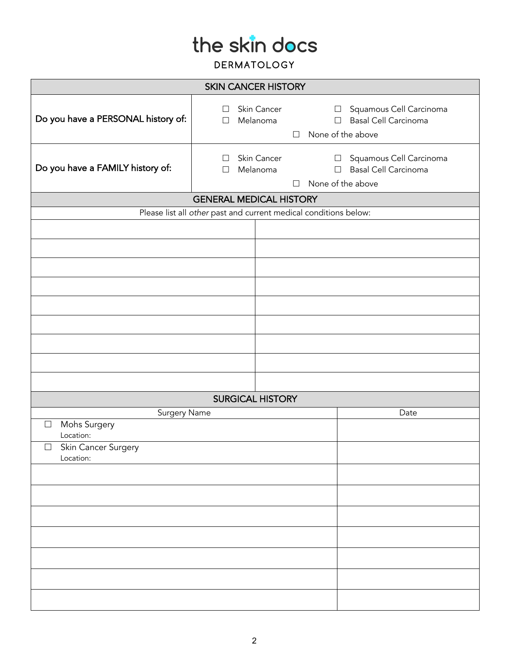| <b>SKIN CANCER HISTORY</b>                                       |                                                        |                                                                          |  |  |  |  |
|------------------------------------------------------------------|--------------------------------------------------------|--------------------------------------------------------------------------|--|--|--|--|
| Do you have a PERSONAL history of:                               | Skin Cancer<br>$\Box$<br>Melanoma<br>$\Box$<br>$\Box$  | □ Squamous Cell Carcinoma<br>□ Basal Cell Carcinoma<br>None of the above |  |  |  |  |
| Do you have a FAMILY history of:                                 | Skin Cancer<br>$\perp$<br>Melanoma<br>$\Box$<br>$\Box$ | □ Squamous Cell Carcinoma<br>□ Basal Cell Carcinoma<br>None of the above |  |  |  |  |
| <b>GENERAL MEDICAL HISTORY</b>                                   |                                                        |                                                                          |  |  |  |  |
| Please list all other past and current medical conditions below: |                                                        |                                                                          |  |  |  |  |
|                                                                  |                                                        |                                                                          |  |  |  |  |
|                                                                  |                                                        |                                                                          |  |  |  |  |
|                                                                  |                                                        |                                                                          |  |  |  |  |
|                                                                  |                                                        |                                                                          |  |  |  |  |
|                                                                  |                                                        |                                                                          |  |  |  |  |
|                                                                  |                                                        |                                                                          |  |  |  |  |
|                                                                  |                                                        |                                                                          |  |  |  |  |
|                                                                  |                                                        |                                                                          |  |  |  |  |
|                                                                  |                                                        |                                                                          |  |  |  |  |
| SURGICAL HISTORY<br>Surgery Name<br>Date                         |                                                        |                                                                          |  |  |  |  |
| Mohs Surgery<br>$\Box$<br>Location:                              |                                                        |                                                                          |  |  |  |  |
| Skin Cancer Surgery<br>$\Box$                                    |                                                        |                                                                          |  |  |  |  |
| Location:                                                        |                                                        |                                                                          |  |  |  |  |
|                                                                  |                                                        |                                                                          |  |  |  |  |
|                                                                  |                                                        |                                                                          |  |  |  |  |
|                                                                  |                                                        |                                                                          |  |  |  |  |
|                                                                  |                                                        |                                                                          |  |  |  |  |
|                                                                  |                                                        |                                                                          |  |  |  |  |
|                                                                  |                                                        |                                                                          |  |  |  |  |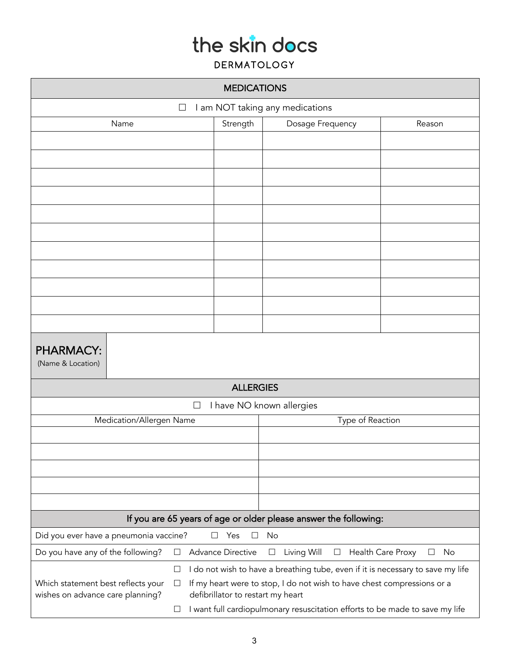| <b>MEDICATIONS</b>                                                                         |                                                                                                                                                                                                 |                                                                              |                              |  |  |  |
|--------------------------------------------------------------------------------------------|-------------------------------------------------------------------------------------------------------------------------------------------------------------------------------------------------|------------------------------------------------------------------------------|------------------------------|--|--|--|
| I am NOT taking any medications<br>$\Box$                                                  |                                                                                                                                                                                                 |                                                                              |                              |  |  |  |
| Name                                                                                       | Strength                                                                                                                                                                                        | Dosage Frequency                                                             | Reason                       |  |  |  |
|                                                                                            |                                                                                                                                                                                                 |                                                                              |                              |  |  |  |
|                                                                                            |                                                                                                                                                                                                 |                                                                              |                              |  |  |  |
|                                                                                            |                                                                                                                                                                                                 |                                                                              |                              |  |  |  |
|                                                                                            |                                                                                                                                                                                                 |                                                                              |                              |  |  |  |
|                                                                                            |                                                                                                                                                                                                 |                                                                              |                              |  |  |  |
|                                                                                            |                                                                                                                                                                                                 |                                                                              |                              |  |  |  |
|                                                                                            |                                                                                                                                                                                                 |                                                                              |                              |  |  |  |
|                                                                                            |                                                                                                                                                                                                 |                                                                              |                              |  |  |  |
|                                                                                            |                                                                                                                                                                                                 |                                                                              |                              |  |  |  |
|                                                                                            |                                                                                                                                                                                                 |                                                                              |                              |  |  |  |
|                                                                                            |                                                                                                                                                                                                 |                                                                              |                              |  |  |  |
| <b>PHARMACY:</b><br>(Name & Location)                                                      |                                                                                                                                                                                                 |                                                                              |                              |  |  |  |
|                                                                                            | <b>ALLERGIES</b>                                                                                                                                                                                |                                                                              |                              |  |  |  |
| $\Box$                                                                                     |                                                                                                                                                                                                 | I have NO known allergies                                                    |                              |  |  |  |
| Medication/Allergen Name                                                                   |                                                                                                                                                                                                 | Type of Reaction                                                             |                              |  |  |  |
|                                                                                            |                                                                                                                                                                                                 |                                                                              |                              |  |  |  |
|                                                                                            |                                                                                                                                                                                                 |                                                                              |                              |  |  |  |
|                                                                                            |                                                                                                                                                                                                 |                                                                              |                              |  |  |  |
|                                                                                            |                                                                                                                                                                                                 |                                                                              |                              |  |  |  |
|                                                                                            |                                                                                                                                                                                                 |                                                                              |                              |  |  |  |
| If you are 65 years of age or older please answer the following:                           |                                                                                                                                                                                                 |                                                                              |                              |  |  |  |
| Did you ever have a pneumonia vaccine?                                                     | Yes<br>$\perp$<br>$\vert \ \ \vert$                                                                                                                                                             | No                                                                           |                              |  |  |  |
| Do you have any of the following?<br>$\Box$                                                | <b>Advance Directive</b>                                                                                                                                                                        | Living Will<br>$\Box$<br>$\Box$                                              | Health Care Proxy<br>No<br>⊔ |  |  |  |
| $\Box$<br>Which statement best reflects your<br>$\Box$<br>wishes on advance care planning? | I do not wish to have a breathing tube, even if it is necessary to save my life<br>If my heart were to stop, I do not wish to have chest compressions or a<br>defibrillator to restart my heart |                                                                              |                              |  |  |  |
| $\Box$                                                                                     |                                                                                                                                                                                                 | I want full cardiopulmonary resuscitation efforts to be made to save my life |                              |  |  |  |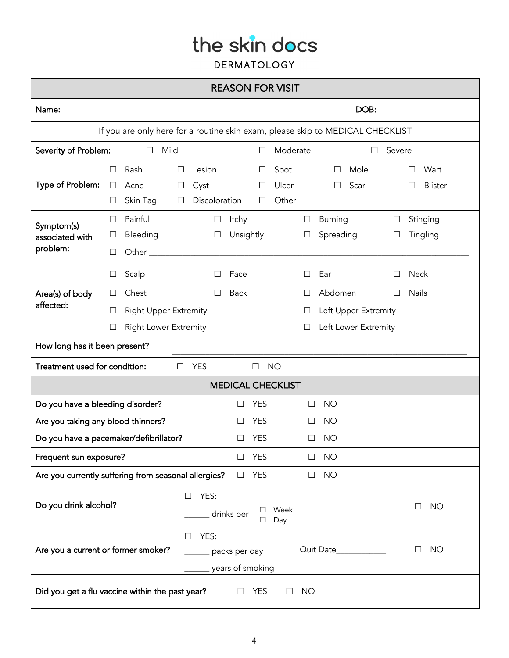| <b>REASON FOR VISIT</b>                                                                                              |                       |                                                                                |                       |                                 |                     |                       |                         |                                       |                                                                |             |                             |
|----------------------------------------------------------------------------------------------------------------------|-----------------------|--------------------------------------------------------------------------------|-----------------------|---------------------------------|---------------------|-----------------------|-------------------------|---------------------------------------|----------------------------------------------------------------|-------------|-----------------------------|
| Name:                                                                                                                |                       |                                                                                |                       |                                 |                     |                       |                         |                                       | DOB:                                                           |             |                             |
| If you are only here for a routine skin exam, please skip to MEDICAL CHECKLIST                                       |                       |                                                                                |                       |                                 |                     |                       |                         |                                       |                                                                |             |                             |
| Severity of Problem:<br>Mild<br>Moderate<br>Severe<br>$\Box$<br>$\Box$<br>□                                          |                       |                                                                                |                       |                                 |                     |                       |                         |                                       |                                                                |             |                             |
| Type of Problem:                                                                                                     | $\Box$<br>$\Box$<br>⊔ | Rash<br>Acne<br>Skin Tag                                                       | $\Box$<br>⊔<br>$\Box$ | Lesion<br>Cyst<br>Discoloration |                     | $\Box$<br>Ш<br>$\Box$ | Spot<br>Ulcer<br>Other_ |                                       | Mole<br>$\Box$<br>Scar<br>$\Box$                               |             | Wart<br>□<br><b>Blister</b> |
| Symptom(s)<br>associated with<br>problem:                                                                            | $\perp$<br>⊔<br>Ш     | Painful<br>Bleeding                                                            |                       | $\Box$<br>$\Box$                | Itchy               | Unsightly             |                         | $\Box$<br>$\Box$                      | <b>Burning</b><br>Spreading                                    | ⊔<br>$\Box$ | Stinging<br>Tingling        |
| Area(s) of body<br>affected:                                                                                         | ⊔<br>⊔                | Scalp<br>Chest<br><b>Right Upper Extremity</b><br><b>Right Lower Extremity</b> |                       | $\Box$<br>П                     | Face<br><b>Back</b> |                       |                         | $\Box$<br>$\perp$<br>$\Box$<br>$\Box$ | Ear<br>Abdomen<br>Left Upper Extremity<br>Left Lower Extremity | $\Box$<br>П | <b>Neck</b><br><b>Nails</b> |
| How long has it been present?                                                                                        |                       |                                                                                |                       |                                 |                     |                       |                         |                                       |                                                                |             |                             |
| Treatment used for condition:<br><b>YES</b><br><b>NO</b><br>$\Box$<br>$\Box$                                         |                       |                                                                                |                       |                                 |                     |                       |                         |                                       |                                                                |             |                             |
| <b>MEDICAL CHECKLIST</b>                                                                                             |                       |                                                                                |                       |                                 |                     |                       |                         |                                       |                                                                |             |                             |
| Do you have a bleeding disorder?<br><b>NO</b><br><b>YES</b><br>□<br>$\Box$                                           |                       |                                                                                |                       |                                 |                     |                       |                         |                                       |                                                                |             |                             |
| Are you taking any blood thinners?                                                                                   |                       |                                                                                |                       |                                 | ш                   | <b>YES</b>            |                         | ப                                     | <b>NO</b>                                                      |             |                             |
| Do you have a pacemaker/defibrillator?<br><b>YES</b><br><b>NO</b><br>$\perp$<br>ш                                    |                       |                                                                                |                       |                                 |                     |                       |                         |                                       |                                                                |             |                             |
| Frequent sun exposure?                                                                                               |                       |                                                                                |                       |                                 |                     | <b>YES</b>            |                         |                                       | <b>NO</b>                                                      |             |                             |
| Are you currently suffering from seasonal allergies?                                                                 |                       |                                                                                |                       |                                 | ш                   | <b>YES</b>            |                         | $\Box$                                | <b>NO</b>                                                      |             |                             |
| Do you drink alcohol?                                                                                                |                       |                                                                                | $\Box$                | YES:                            | drinks per          | ⊔<br>$\Box$           | Week<br>Day             |                                       |                                                                |             | <b>NO</b><br>⊔              |
| YES:<br>П<br>Are you a current or former smoker?<br>Quit Date<br><b>NO</b><br>⊔<br>packs per day<br>years of smoking |                       |                                                                                |                       |                                 |                     |                       |                         |                                       |                                                                |             |                             |
| Did you get a flu vaccine within the past year?<br><b>YES</b><br><b>NO</b><br>ப                                      |                       |                                                                                |                       |                                 |                     |                       |                         |                                       |                                                                |             |                             |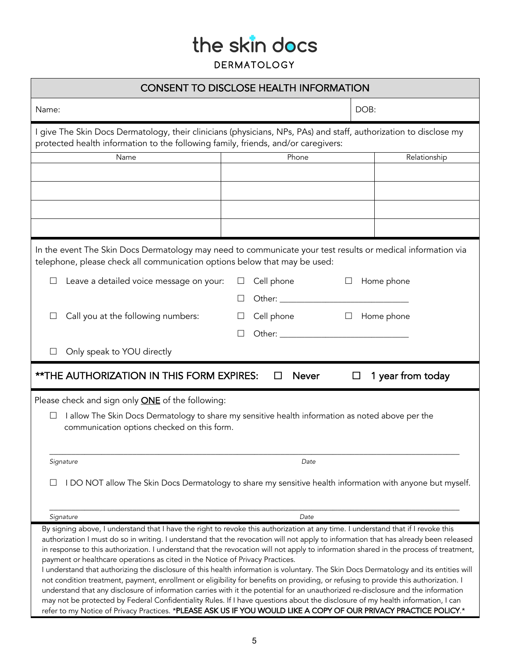| <b>CONSENT TO DISCLOSE HEALTH INFORMATION</b>                                                                                                                                                                                                                                                                                                                                                                                                                                                                                                                                                                                                                                                                                                                                                                                                                                                                                                                                                                                                                                                                                                                                    |                       |            |  |  |  |  |
|----------------------------------------------------------------------------------------------------------------------------------------------------------------------------------------------------------------------------------------------------------------------------------------------------------------------------------------------------------------------------------------------------------------------------------------------------------------------------------------------------------------------------------------------------------------------------------------------------------------------------------------------------------------------------------------------------------------------------------------------------------------------------------------------------------------------------------------------------------------------------------------------------------------------------------------------------------------------------------------------------------------------------------------------------------------------------------------------------------------------------------------------------------------------------------|-----------------------|------------|--|--|--|--|
| Name:                                                                                                                                                                                                                                                                                                                                                                                                                                                                                                                                                                                                                                                                                                                                                                                                                                                                                                                                                                                                                                                                                                                                                                            |                       | DOB:       |  |  |  |  |
| I give The Skin Docs Dermatology, their clinicians (physicians, NPs, PAs) and staff, authorization to disclose my<br>protected health information to the following family, friends, and/or caregivers:                                                                                                                                                                                                                                                                                                                                                                                                                                                                                                                                                                                                                                                                                                                                                                                                                                                                                                                                                                           |                       |            |  |  |  |  |
| Name                                                                                                                                                                                                                                                                                                                                                                                                                                                                                                                                                                                                                                                                                                                                                                                                                                                                                                                                                                                                                                                                                                                                                                             | Phone<br>Relationship |            |  |  |  |  |
|                                                                                                                                                                                                                                                                                                                                                                                                                                                                                                                                                                                                                                                                                                                                                                                                                                                                                                                                                                                                                                                                                                                                                                                  |                       |            |  |  |  |  |
|                                                                                                                                                                                                                                                                                                                                                                                                                                                                                                                                                                                                                                                                                                                                                                                                                                                                                                                                                                                                                                                                                                                                                                                  |                       |            |  |  |  |  |
|                                                                                                                                                                                                                                                                                                                                                                                                                                                                                                                                                                                                                                                                                                                                                                                                                                                                                                                                                                                                                                                                                                                                                                                  |                       |            |  |  |  |  |
|                                                                                                                                                                                                                                                                                                                                                                                                                                                                                                                                                                                                                                                                                                                                                                                                                                                                                                                                                                                                                                                                                                                                                                                  |                       |            |  |  |  |  |
|                                                                                                                                                                                                                                                                                                                                                                                                                                                                                                                                                                                                                                                                                                                                                                                                                                                                                                                                                                                                                                                                                                                                                                                  |                       |            |  |  |  |  |
| In the event The Skin Docs Dermatology may need to communicate your test results or medical information via<br>telephone, please check all communication options below that may be used:                                                                                                                                                                                                                                                                                                                                                                                                                                                                                                                                                                                                                                                                                                                                                                                                                                                                                                                                                                                         |                       |            |  |  |  |  |
| Leave a detailed voice message on your:                                                                                                                                                                                                                                                                                                                                                                                                                                                                                                                                                                                                                                                                                                                                                                                                                                                                                                                                                                                                                                                                                                                                          | Cell phone            | Home phone |  |  |  |  |
|                                                                                                                                                                                                                                                                                                                                                                                                                                                                                                                                                                                                                                                                                                                                                                                                                                                                                                                                                                                                                                                                                                                                                                                  |                       |            |  |  |  |  |
|                                                                                                                                                                                                                                                                                                                                                                                                                                                                                                                                                                                                                                                                                                                                                                                                                                                                                                                                                                                                                                                                                                                                                                                  |                       |            |  |  |  |  |
| Call you at the following numbers:                                                                                                                                                                                                                                                                                                                                                                                                                                                                                                                                                                                                                                                                                                                                                                                                                                                                                                                                                                                                                                                                                                                                               | Cell phone<br>$\Box$  | Home phone |  |  |  |  |
|                                                                                                                                                                                                                                                                                                                                                                                                                                                                                                                                                                                                                                                                                                                                                                                                                                                                                                                                                                                                                                                                                                                                                                                  |                       |            |  |  |  |  |
| Only speak to YOU directly                                                                                                                                                                                                                                                                                                                                                                                                                                                                                                                                                                                                                                                                                                                                                                                                                                                                                                                                                                                                                                                                                                                                                       |                       |            |  |  |  |  |
| <b>**THE AUTHORIZATION IN THIS FORM EXPIRES:</b><br><b>Never</b><br>1 year from today                                                                                                                                                                                                                                                                                                                                                                                                                                                                                                                                                                                                                                                                                                                                                                                                                                                                                                                                                                                                                                                                                            |                       |            |  |  |  |  |
| Please check and sign only <b>ONE</b> of the following:                                                                                                                                                                                                                                                                                                                                                                                                                                                                                                                                                                                                                                                                                                                                                                                                                                                                                                                                                                                                                                                                                                                          |                       |            |  |  |  |  |
| I allow The Skin Docs Dermatology to share my sensitive health information as noted above per the                                                                                                                                                                                                                                                                                                                                                                                                                                                                                                                                                                                                                                                                                                                                                                                                                                                                                                                                                                                                                                                                                |                       |            |  |  |  |  |
| communication options checked on this form.                                                                                                                                                                                                                                                                                                                                                                                                                                                                                                                                                                                                                                                                                                                                                                                                                                                                                                                                                                                                                                                                                                                                      |                       |            |  |  |  |  |
|                                                                                                                                                                                                                                                                                                                                                                                                                                                                                                                                                                                                                                                                                                                                                                                                                                                                                                                                                                                                                                                                                                                                                                                  |                       |            |  |  |  |  |
| Signature                                                                                                                                                                                                                                                                                                                                                                                                                                                                                                                                                                                                                                                                                                                                                                                                                                                                                                                                                                                                                                                                                                                                                                        | Date                  |            |  |  |  |  |
|                                                                                                                                                                                                                                                                                                                                                                                                                                                                                                                                                                                                                                                                                                                                                                                                                                                                                                                                                                                                                                                                                                                                                                                  |                       |            |  |  |  |  |
| I DO NOT allow The Skin Docs Dermatology to share my sensitive health information with anyone but myself.                                                                                                                                                                                                                                                                                                                                                                                                                                                                                                                                                                                                                                                                                                                                                                                                                                                                                                                                                                                                                                                                        |                       |            |  |  |  |  |
|                                                                                                                                                                                                                                                                                                                                                                                                                                                                                                                                                                                                                                                                                                                                                                                                                                                                                                                                                                                                                                                                                                                                                                                  |                       |            |  |  |  |  |
| Signature                                                                                                                                                                                                                                                                                                                                                                                                                                                                                                                                                                                                                                                                                                                                                                                                                                                                                                                                                                                                                                                                                                                                                                        | Date                  |            |  |  |  |  |
| By signing above, I understand that I have the right to revoke this authorization at any time. I understand that if I revoke this<br>authorization I must do so in writing. I understand that the revocation will not apply to information that has already been released<br>in response to this authorization. I understand that the revocation will not apply to information shared in the process of treatment,<br>payment or healthcare operations as cited in the Notice of Privacy Practices.<br>I understand that authorizing the disclosure of this health information is voluntary. The Skin Docs Dermatology and its entities will<br>not condition treatment, payment, enrollment or eligibility for benefits on providing, or refusing to provide this authorization. I<br>understand that any disclosure of information carries with it the potential for an unauthorized re-disclosure and the information<br>may not be protected by Federal Confidentiality Rules. If I have questions about the disclosure of my health information, I can<br>refer to my Notice of Privacy Practices. *PLEASE ASK US IF YOU WOULD LIKE A COPY OF OUR PRIVACY PRACTICE POLICY.* |                       |            |  |  |  |  |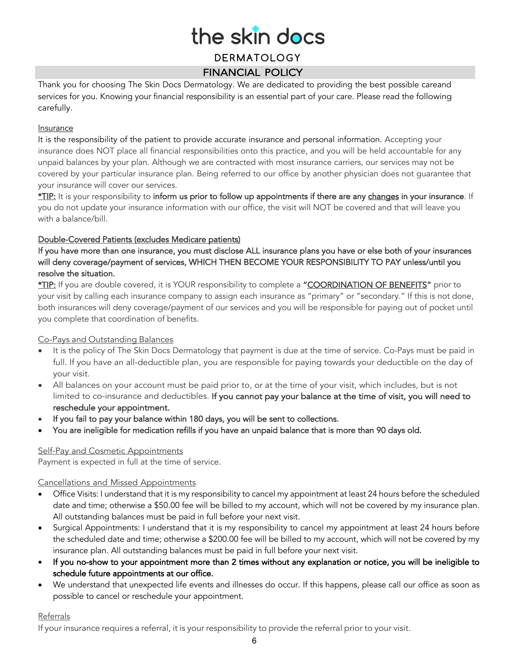### the skin docs DERMATOLOGY

#### FINANCIAL POLICY

Thank you for choosing The Skin Docs Dermatology. We are dedicated to providing the best possible careand services for you. Knowing your financial responsibility is an essential part of your care. Please read the following carefully.

#### **Insurance**

It is the responsibility of the patient to provide accurate insurance and personal information. Accepting your insurance does NOT place all financial responsibilities onto this practice, and you will be held accountable for any unpaid balances by your plan. Although we are contracted with most insurance carriers, our services may not be covered by your particular insurance plan. Being referred to our office by another physician does not guarantee that your insurance will cover our services.

\*TIP: It is your responsibility to inform us prior to follow up appointments if there are any changes in your insurance. If you do not update your insurance information with our office, the visit will NOT be covered and that will leave you with a balance/bill.

#### Double-Covered Patients (excludes Medicare patients)

If you have more than one insurance, you must disclose ALL insurance plans you have or else both of your insurances will deny coverage/payment of services, WHICH THEN BECOME YOUR RESPONSIBILITY TO PAY unless/until you resolve the situation.

\*TIP: If you are double covered, it is YOUR responsibility to complete a "COORDINATION OF BENEFITS" prior to your visit by calling each insurance company to assign each insurance as "primary" or "secondary." If this is not done, both insurances will deny coverage/payment of our services and you will be responsible for paying out of pocket until you complete that coordination of benefits.

#### Co-Pays and Outstanding Balances

- It is the policy of The Skin Docs Dermatology that payment is due at the time of service. Co-Pays must be paid in full. If you have an all-deductible plan, you are responsible for paying towards your deductible on the day of your visit.
- All balances on your account must be paid prior to, or at the time of your visit, which includes, but is not limited to co-insurance and deductibles. If you cannot pay your balance at the time of visit, you will need to reschedule your appointment.
- If you fail to pay your balance within 180 days, you will be sent to collections.
- You are ineligible for medication refills if you have an unpaid balance that is more than 90 days old.

#### Self-Pay and Cosmetic Appointments

Payment is expected in full at the time of service.

#### Cancellations and Missed Appointments

- Office Visits: I understand that it is my responsibility to cancel my appointment at least 24 hours before the scheduled date and time; otherwise a \$50.00 fee will be billed to my account, which will not be covered by my insurance plan. All outstanding balances must be paid in full before your next visit.
- Surgical Appointments: I understand that it is my responsibility to cancel my appointment at least 24 hours before the scheduled date and time; otherwise a \$200.00 fee will be billed to my account, which will not be covered by my insurance plan. All outstanding balances must be paid in full before your next visit.
- If you no-show to your appointment more than 2 times without any explanation or notice, you will be ineligible to schedule future appointments at our office.
- We understand that unexpected life events and illnesses do occur. If this happens, please call our office as soon as possible to cancel or reschedule your appointment.

#### **Referrals**

If your insurance requires a referral, it is your responsibility to provide the referral prior to your visit.